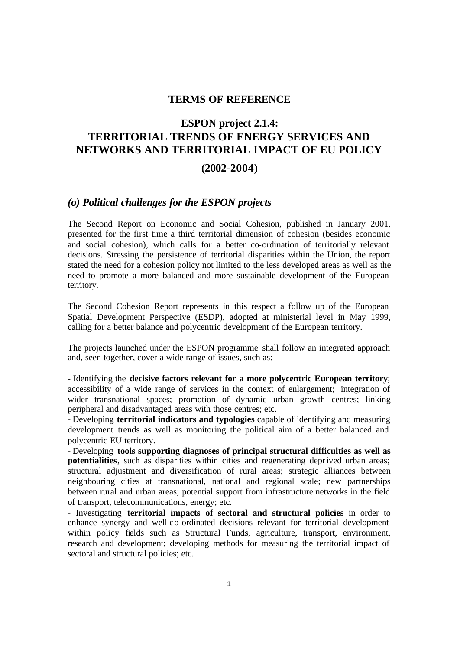# **TERMS OF REFERENCE**

# **ESPON project 2.1.4: TERRITORIAL TRENDS OF ENERGY SERVICES AND NETWORKS AND TERRITORIAL IMPACT OF EU POLICY**

#### **(2002-2004)**

# *(o) Political challenges for the ESPON projects*

The Second Report on Economic and Social Cohesion, published in January 2001, presented for the first time a third territorial dimension of cohesion (besides economic and social cohesion), which calls for a better co-ordination of territorially relevant decisions. Stressing the persistence of territorial disparities within the Union, the report stated the need for a cohesion policy not limited to the less developed areas as well as the need to promote a more balanced and more sustainable development of the European territory.

The Second Cohesion Report represents in this respect a follow up of the European Spatial Development Perspective (ESDP), adopted at ministerial level in May 1999, calling for a better balance and polycentric development of the European territory.

The projects launched under the ESPON programme shall follow an integrated approach and, seen together, cover a wide range of issues, such as:

- Identifying the **decisive factors relevant for a more polycentric European territory**; accessibility of a wide range of services in the context of enlargement; integration of wider transnational spaces; promotion of dynamic urban growth centres; linking peripheral and disadvantaged areas with those centres; etc.

- Developing **territorial indicators and typologies** capable of identifying and measuring development trends as well as monitoring the political aim of a better balanced and polycentric EU territory.

- Developing **tools supporting diagnoses of principal structural difficulties as well as potentialities**, such as disparities within cities and regenerating deprived urban areas; structural adjustment and diversification of rural areas; strategic alliances between neighbouring cities at transnational, national and regional scale; new partnerships between rural and urban areas; potential support from infrastructure networks in the field of transport, telecommunications, energy; etc.

- Investigating **territorial impacts of sectoral and structural policies** in order to enhance synergy and well-co-ordinated decisions relevant for territorial development within policy fields such as Structural Funds, agriculture, transport, environment, research and development; developing methods for measuring the territorial impact of sectoral and structural policies; etc.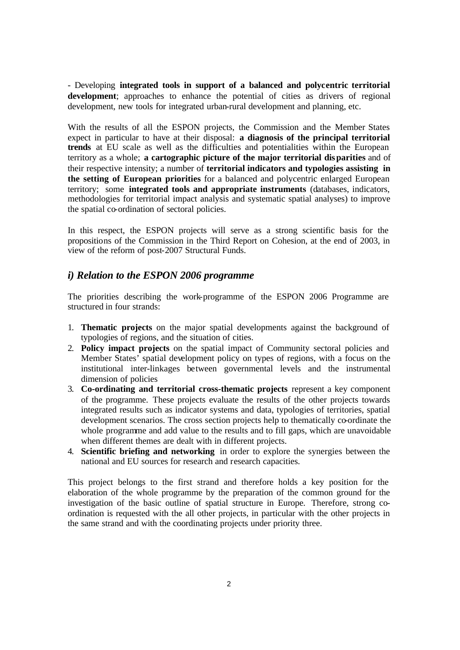- Developing **integrated tools in support of a balanced and polycentric territorial development**; approaches to enhance the potential of cities as drivers of regional development, new tools for integrated urban-rural development and planning, etc.

With the results of all the ESPON projects, the Commission and the Member States expect in particular to have at their disposal: **a diagnosis of the principal territorial trends** at EU scale as well as the difficulties and potentialities within the European territory as a whole; **a cartographic picture of the major territorial disparities** and of their respective intensity; a number of **territorial indicators and typologies assisting in the setting of European priorities** for a balanced and polycentric enlarged European territory; some **integrated tools and appropriate instruments** (databases, indicators, methodologies for territorial impact analysis and systematic spatial analyses) to improve the spatial co-ordination of sectoral policies.

In this respect, the ESPON projects will serve as a strong scientific basis for the propositions of the Commission in the Third Report on Cohesion, at the end of 2003, in view of the reform of post-2007 Structural Funds.

# *i) Relation to the ESPON 2006 programme*

The priorities describing the work-programme of the ESPON 2006 Programme are structured in four strands:

- 1. **Thematic projects** on the major spatial developments against the background of typologies of regions, and the situation of cities.
- 2. **Policy impact projects** on the spatial impact of Community sectoral policies and Member States' spatial development policy on types of regions, with a focus on the institutional inter-linkages between governmental levels and the instrumental dimension of policies
- 3. **Co-ordinating and territorial cross-thematic projects** represent a key component of the programme. These projects evaluate the results of the other projects towards integrated results such as indicator systems and data, typologies of territories, spatial development scenarios. The cross section projects help to thematically co-ordinate the whole programme and add value to the results and to fill gaps, which are unavoidable when different themes are dealt with in different projects.
- 4. **Scientific briefing and networking** in order to explore the synergies between the national and EU sources for research and research capacities.

This project belongs to the first strand and therefore holds a key position for the elaboration of the whole programme by the preparation of the common ground for the investigation of the basic outline of spatial structure in Europe. Therefore, strong coordination is requested with the all other projects, in particular with the other projects in the same strand and with the coordinating projects under priority three.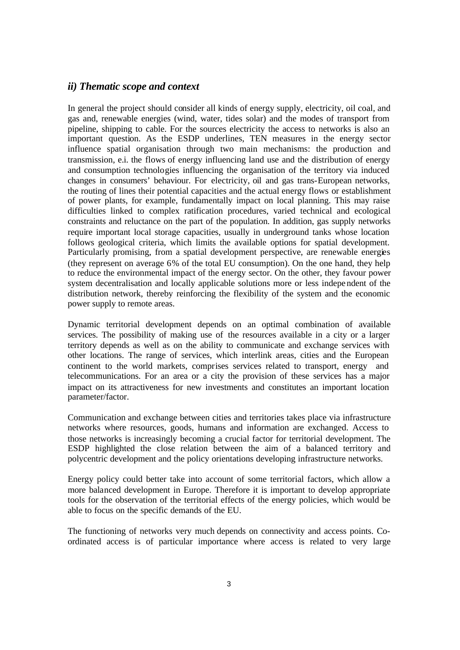#### *ii) Thematic scope and context*

In general the project should consider all kinds of energy supply, electricity, oil coal, and gas and, renewable energies (wind, water, tides solar) and the modes of transport from pipeline, shipping to cable. For the sources electricity the access to networks is also an important question. As the ESDP underlines, TEN measures in the energy sector influence spatial organisation through two main mechanisms: the production and transmission, e.i. the flows of energy influencing land use and the distribution of energy and consumption technologies influencing the organisation of the territory via induced changes in consumers' behaviour. For electricity, oil and gas trans-European networks, the routing of lines their potential capacities and the actual energy flows or establishment of power plants, for example, fundamentally impact on local planning. This may raise difficulties linked to complex ratification procedures, varied technical and ecological constraints and reluctance on the part of the population. In addition, gas supply networks require important local storage capacities, usually in underground tanks whose location follows geological criteria, which limits the available options for spatial development. Particularly promising, from a spatial development perspective, are renewable energies (they represent on average 6% of the total EU consumption). On the one hand, they help to reduce the environmental impact of the energy sector. On the other, they favour power system decentralisation and locally applicable solutions more or less indepe ndent of the distribution network, thereby reinforcing the flexibility of the system and the economic power supply to remote areas.

Dynamic territorial development depends on an optimal combination of available services. The possibility of making use of the resources available in a city or a larger territory depends as well as on the ability to communicate and exchange services with other locations. The range of services, which interlink areas, cities and the European continent to the world markets, comprises services related to transport, energy and telecommunications. For an area or a city the provision of these services has a major impact on its attractiveness for new investments and constitutes an important location parameter/factor.

Communication and exchange between cities and territories takes place via infrastructure networks where resources, goods, humans and information are exchanged. Access to those networks is increasingly becoming a crucial factor for territorial development. The ESDP highlighted the close relation between the aim of a balanced territory and polycentric development and the policy orientations developing infrastructure networks.

Energy policy could better take into account of some territorial factors, which allow a more balanced development in Europe. Therefore it is important to develop appropriate tools for the observation of the territorial effects of the energy policies, which would be able to focus on the specific demands of the EU.

The functioning of networks very much depends on connectivity and access points. Coordinated access is of particular importance where access is related to very large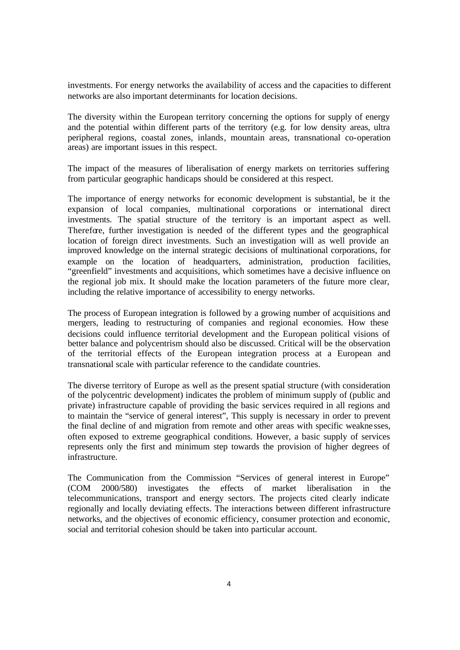investments. For energy networks the availability of access and the capacities to different networks are also important determinants for location decisions.

The diversity within the European territory concerning the options for supply of energy and the potential within different parts of the territory (e.g. for low density areas, ultra peripheral regions, coastal zones, inlands, mountain areas, transnational co-operation areas) are important issues in this respect.

The impact of the measures of liberalisation of energy markets on territories suffering from particular geographic handicaps should be considered at this respect.

The importance of energy networks for economic development is substantial, be it the expansion of local companies, multinational corporations or international direct investments. The spatial structure of the territory is an important aspect as well. Therefore, further investigation is needed of the different types and the geographical location of foreign direct investments. Such an investigation will as well provide an improved knowledge on the internal strategic decisions of multinational corporations, for example on the location of headquarters, administration, production facilities, "greenfield" investments and acquisitions, which sometimes have a decisive influence on the regional job mix. It should make the location parameters of the future more clear, including the relative importance of accessibility to energy networks.

The process of European integration is followed by a growing number of acquisitions and mergers, leading to restructuring of companies and regional economies. How these decisions could influence territorial development and the European political visions of better balance and polycentrism should also be discussed. Critical will be the observation of the territorial effects of the European integration process at a European and transnational scale with particular reference to the candidate countries.

The diverse territory of Europe as well as the present spatial structure (with consideration of the polycentric development) indicates the problem of minimum supply of (public and private) infrastructure capable of providing the basic services required in all regions and to maintain the "service of general interest", This supply is necessary in order to prevent the final decline of and migration from remote and other areas with specific weakne sses, often exposed to extreme geographical conditions. However, a basic supply of services represents only the first and minimum step towards the provision of higher degrees of infrastructure.

The Communication from the Commission "Services of general interest in Europe" (COM 2000/580) investigates the effects of market liberalisation in the telecommunications, transport and energy sectors. The projects cited clearly indicate regionally and locally deviating effects. The interactions between different infrastructure networks, and the objectives of economic efficiency, consumer protection and economic, social and territorial cohesion should be taken into particular account.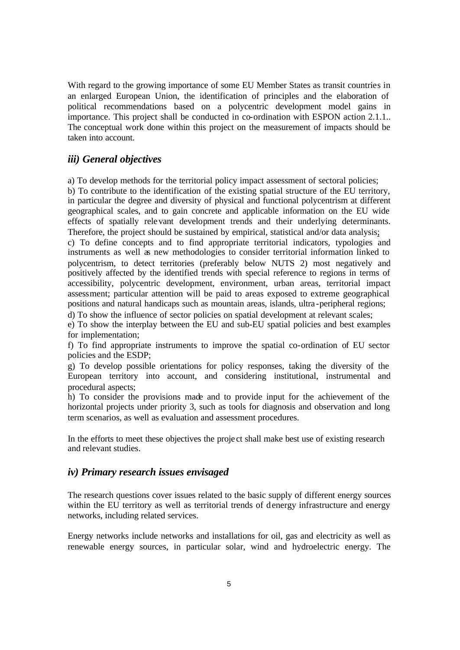With regard to the growing importance of some EU Member States as transit countries in an enlarged European Union, the identification of principles and the elaboration of political recommendations based on a polycentric development model gains in importance. This project shall be conducted in co-ordination with ESPON action 2.1.1.. The conceptual work done within this project on the measurement of impacts should be taken into account.

# *iii) General objectives*

a) To develop methods for the territorial policy impact assessment of sectoral policies;

b) To contribute to the identification of the existing spatial structure of the EU territory, in particular the degree and diversity of physical and functional polycentrism at different geographical scales, and to gain concrete and applicable information on the EU wide effects of spatially relevant development trends and their underlying determinants. Therefore, the project should be sustained by empirical, statistical and/or data analysis;

c) To define concepts and to find appropriate territorial indicators, typologies and instruments as well as new methodologies to consider territorial information linked to polycentrism, to detect territories (preferably below NUTS 2) most negatively and positively affected by the identified trends with special reference to regions in terms of accessibility, polycentric development, environment, urban areas, territorial impact assessment; particular attention will be paid to areas exposed to extreme geographical positions and natural handicaps such as mountain areas, islands, ultra -peripheral regions;

d) To show the influence of sector policies on spatial development at relevant scales;

e) To show the interplay between the EU and sub-EU spatial policies and best examples for implementation;

f) To find appropriate instruments to improve the spatial co-ordination of EU sector policies and the ESDP;

g) To develop possible orientations for policy responses, taking the diversity of the European territory into account, and considering institutional, instrumental and procedural aspects;

h) To consider the provisions made and to provide input for the achievement of the horizontal projects under priority 3, such as tools for diagnosis and observation and long term scenarios, as well as evaluation and assessment procedures.

In the efforts to meet these objectives the proje ct shall make best use of existing research and relevant studies.

# *iv) Primary research issues envisaged*

The research questions cover issues related to the basic supply of different energy sources within the EU territory as well as territorial trends of denergy infrastructure and energy networks, including related services.

Energy networks include networks and installations for oil, gas and electricity as well as renewable energy sources, in particular solar, wind and hydroelectric energy. The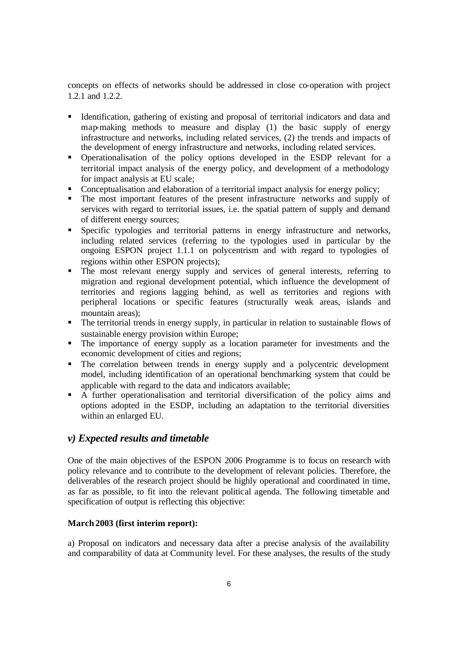concepts on effects of networks should be addressed in close co-operation with project 1.2.1 and 1.2.2.

- ß Identification, gathering of existing and proposal of territorial indicators and data and map-making methods to measure and display (1) the basic supply of energy infrastructure and networks, including related services, (2) the trends and impacts of the development of energy infrastructure and networks, including related services.
- ß Operationalisation of the policy options developed in the ESDP relevant for a territorial impact analysis of the energy policy, and development of a methodology for impact analysis at EU scale;
- Conceptualisation and elaboration of a territorial impact analysis for energy policy;
- The most important features of the present infrastructure networks and supply of services with regard to territorial issues, i.e. the spatial pattern of supply and demand of different energy sources;
- **Specific typologies and territorial patterns in energy infrastructure and networks,** including related services (referring to the typologies used in particular by the ongoing ESPON project 1.1.1 on polycentrism and with regard to typologies of regions within other ESPON projects);
- The most relevant energy supply and services of general interests, referring to migration and regional development potential, which influence the development of territories and regions lagging behind, as well as territories and regions with peripheral locations or specific features (structurally weak areas, islands and mountain areas);
- The territorial trends in energy supply, in particular in relation to sustainable flows of sustainable energy provision within Europe;
- The importance of energy supply as a location parameter for investments and the economic development of cities and regions;
- The correlation between trends in energy supply and a polycentric development model, including identification of an operational benchmarking system that could be applicable with regard to the data and indicators available;
- ß A further operationalisation and territorial diversification of the policy aims and options adopted in the ESDP, including an adaptation to the territorial diversities within an enlarged EU.

# *v) Expected results and timetable*

One of the main objectives of the ESPON 2006 Programme is to focus on research with policy relevance and to contribute to the development of relevant policies. Therefore, the deliverables of the research project should be highly operational and coordinated in time, as far as possible, to fit into the relevant political agenda. The following timetable and specification of output is reflecting this objective:

# **March 2003 (first interim report):**

a) Proposal on indicators and necessary data after a precise analysis of the availability and comparability of data at Community level. For these analyses, the results of the study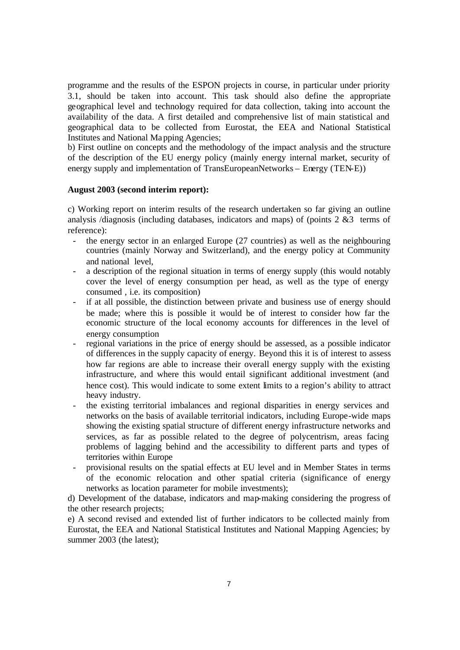programme and the results of the ESPON projects in course, in particular under priority 3.1, should be taken into account. This task should also define the appropriate geographical level and technology required for data collection, taking into account the availability of the data. A first detailed and comprehensive list of main statistical and geographical data to be collected from Eurostat, the EEA and National Statistical Institutes and National Mapping Agencies;

b) First outline on concepts and the methodology of the impact analysis and the structure of the description of the EU energy policy (mainly energy internal market, security of energy supply and implementation of TransEuropeanNetworks – Energy (TEN-E))

#### **August 2003 (second interim report):**

c) Working report on interim results of the research undertaken so far giving an outline analysis /diagnosis (including databases, indicators and maps) of (points 2 &3 terms of reference):

- the energy sector in an enlarged Europe (27 countries) as well as the neighbouring countries (mainly Norway and Switzerland), and the energy policy at Community and national level,
- a description of the regional situation in terms of energy supply (this would notably cover the level of energy consumption per head, as well as the type of energy consumed , i.e. its composition)
- if at all possible, the distinction between private and business use of energy should be made; where this is possible it would be of interest to consider how far the economic structure of the local economy accounts for differences in the level of energy consumption
- regional variations in the price of energy should be assessed, as a possible indicator of differences in the supply capacity of energy. Beyond this it is of interest to assess how far regions are able to increase their overall energy supply with the existing infrastructure, and where this would entail significant additional investment (and hence cost). This would indicate to some extent limits to a region's ability to attract heavy industry.
- the existing territorial imbalances and regional disparities in energy services and networks on the basis of available territorial indicators, including Europe-wide maps showing the existing spatial structure of different energy infrastructure networks and services, as far as possible related to the degree of polycentrism, areas facing problems of lagging behind and the accessibility to different parts and types of territories within Europe
- provisional results on the spatial effects at EU level and in Member States in terms of the economic relocation and other spatial criteria (significance of energy networks as location parameter for mobile investments);

d) Development of the database, indicators and map-making considering the progress of the other research projects;

e) A second revised and extended list of further indicators to be collected mainly from Eurostat, the EEA and National Statistical Institutes and National Mapping Agencies; by summer 2003 (the latest);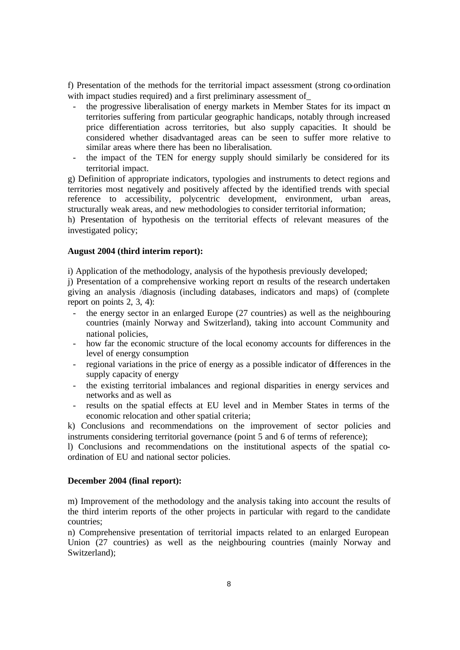f) Presentation of the methods for the territorial impact assessment (strong co-ordination with impact studies required) and a first preliminary assessment of\_

- the progressive liberalisation of energy markets in Member States for its impact on territories suffering from particular geographic handicaps, notably through increased price differentiation across territories, but also supply capacities. It should be considered whether disadvantaged areas can be seen to suffer more relative to similar areas where there has been no liberalisation.
- the impact of the TEN for energy supply should similarly be considered for its territorial impact.

g) Definition of appropriate indicators, typologies and instruments to detect regions and territories most negatively and positively affected by the identified trends with special reference to accessibility, polycentric development, environment, urban areas, structurally weak areas, and new methodologies to consider territorial information;

h) Presentation of hypothesis on the territorial effects of relevant measures of the investigated policy;

#### **August 2004 (third interim report):**

i) Application of the methodology, analysis of the hypothesis previously developed;

j) Presentation of a comprehensive working report on results of the research undertaken giving an analysis /diagnosis (including databases, indicators and maps) of (complete report on points 2, 3, 4):

- the energy sector in an enlarged Europe (27 countries) as well as the neighbouring countries (mainly Norway and Switzerland), taking into account Community and national policies,
- how far the economic structure of the local economy accounts for differences in the level of energy consumption
- regional variations in the price of energy as a possible indicator of differences in the supply capacity of energy
- the existing territorial imbalances and regional disparities in energy services and networks and as well as
- results on the spatial effects at EU level and in Member States in terms of the economic relocation and other spatial criteria;

k) Conclusions and recommendations on the improvement of sector policies and instruments considering territorial governance (point 5 and 6 of terms of reference);

l) Conclusions and recommendations on the institutional aspects of the spatial coordination of EU and national sector policies.

#### **December 2004 (final report):**

m) Improvement of the methodology and the analysis taking into account the results of the third interim reports of the other projects in particular with regard to the candidate countries;

n) Comprehensive presentation of territorial impacts related to an enlarged European Union (27 countries) as well as the neighbouring countries (mainly Norway and Switzerland);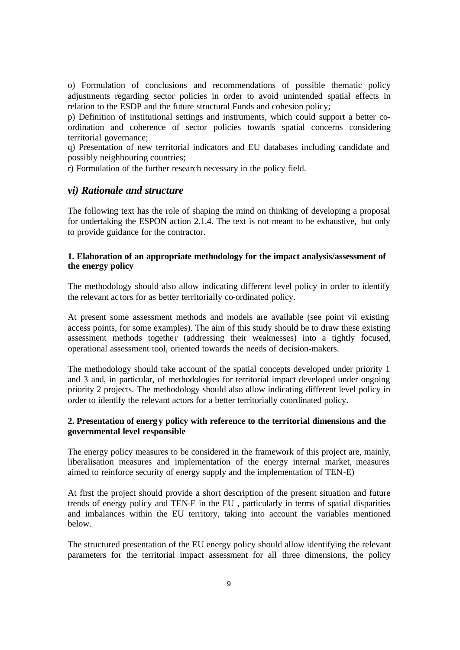o) Formulation of conclusions and recommendations of possible thematic policy adjustments regarding sector policies in order to avoid unintended spatial effects in relation to the ESDP and the future structural Funds and cohesion policy;

p) Definition of institutional settings and instruments, which could support a better coordination and coherence of sector policies towards spatial concerns considering territorial governance;

q) Presentation of new territorial indicators and EU databases including candidate and possibly neighbouring countries;

r) Formulation of the further research necessary in the policy field.

#### *vi) Rationale and structure*

The following text has the role of shaping the mind on thinking of developing a proposal for undertaking the ESPON action 2.1.4. The text is not meant to be exhaustive, but only to provide guidance for the contractor.

#### **1. Elaboration of an appropriate methodology for the impact analysis/assessment of the energy policy**

The methodology should also allow indicating different level policy in order to identify the relevant ac tors for as better territorially co-ordinated policy.

At present some assessment methods and models are available (see point vii existing access points, for some examples). The aim of this study should be to draw these existing assessment methods together (addressing their weaknesses) into a tightly focused, operational assessment tool, oriented towards the needs of decision-makers.

The methodology should take account of the spatial concepts developed under priority 1 and 3 and, in particular, of methodologies for territorial impact developed under ongoing priority 2 projects. The methodology should also allow indicating different level policy in order to identify the relevant actors for a better territorially coordinated policy.

# **2. Presentation of energy policy with reference to the territorial dimensions and the governmental level responsible**

The energy policy measures to be considered in the framework of this project are, mainly, liberalisation measures and implementation of the energy internal market, measures aimed to reinforce security of energy supply and the implementation of TEN-E)

At first the project should provide a short description of the present situation and future trends of energy policy and TEN-E in the EU , particularly in terms of spatial disparities and imbalances within the EU territory, taking into account the variables mentioned below.

The structured presentation of the EU energy policy should allow identifying the relevant parameters for the territorial impact assessment for all three dimensions, the policy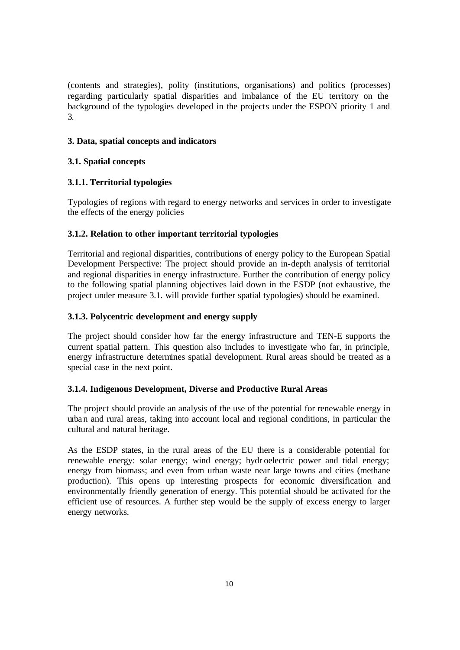(contents and strategies), polity (institutions, organisations) and politics (processes) regarding particularly spatial disparities and imbalance of the EU territory on the background of the typologies developed in the projects under the ESPON priority 1 and 3.

#### **3. Data, spatial concepts and indicators**

# **3.1. Spatial concepts**

# **3.1.1. Territorial typologies**

Typologies of regions with regard to energy networks and services in order to investigate the effects of the energy policies

# **3.1.2. Relation to other important territorial typologies**

Territorial and regional disparities, contributions of energy policy to the European Spatial Development Perspective: The project should provide an in-depth analysis of territorial and regional disparities in energy infrastructure. Further the contribution of energy policy to the following spatial planning objectives laid down in the ESDP (not exhaustive, the project under measure 3.1. will provide further spatial typologies) should be examined.

# **3.1.3. Polycentric development and energy supply**

The project should consider how far the energy infrastructure and TEN-E supports the current spatial pattern. This question also includes to investigate who far, in principle, energy infrastructure determines spatial development. Rural areas should be treated as a special case in the next point.

#### **3.1.4. Indigenous Development, Diverse and Productive Rural Areas**

The project should provide an analysis of the use of the potential for renewable energy in urba n and rural areas, taking into account local and regional conditions, in particular the cultural and natural heritage.

As the ESDP states, in the rural areas of the EU there is a considerable potential for renewable energy: solar energy; wind energy; hydr oelectric power and tidal energy; energy from biomass; and even from urban waste near large towns and cities (methane production). This opens up interesting prospects for economic diversification and environmentally friendly generation of energy. This potential should be activated for the efficient use of resources. A further step would be the supply of excess energy to larger energy networks.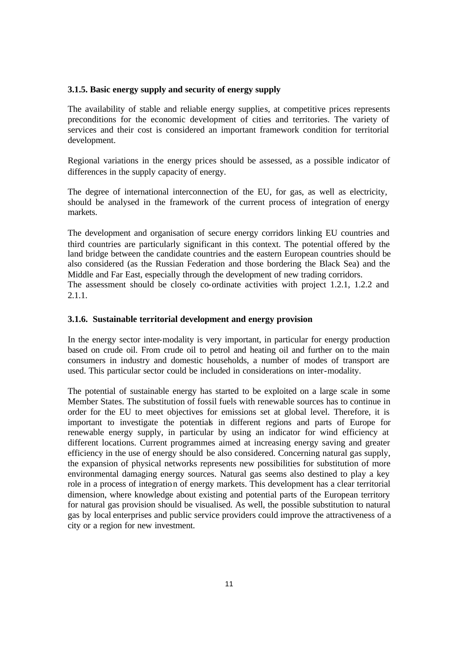#### **3.1.5. Basic energy supply and security of energy supply**

The availability of stable and reliable energy supplies, at competitive prices represents preconditions for the economic development of cities and territories. The variety of services and their cost is considered an important framework condition for territorial development.

Regional variations in the energy prices should be assessed, as a possible indicator of differences in the supply capacity of energy.

The degree of international interconnection of the EU, for gas, as well as electricity, should be analysed in the framework of the current process of integration of energy markets.

The development and organisation of secure energy corridors linking EU countries and third countries are particularly significant in this context. The potential offered by the land bridge between the candidate countries and the eastern European countries should be also considered (as the Russian Federation and those bordering the Black Sea) and the Middle and Far East, especially through the development of new trading corridors.

The assessment should be closely co-ordinate activities with project 1.2.1, 1.2.2 and 2.1.1.

# **3.1.6. Sustainable territorial development and energy provision**

In the energy sector inter-modality is very important, in particular for energy production based on crude oil. From crude oil to petrol and heating oil and further on to the main consumers in industry and domestic households, a number of modes of transport are used. This particular sector could be included in considerations on inter-modality.

The potential of sustainable energy has started to be exploited on a large scale in some Member States. The substitution of fossil fuels with renewable sources has to continue in order for the EU to meet objectives for emissions set at global level. Therefore, it is important to investigate the potentials in different regions and parts of Europe for renewable energy supply, in particular by using an indicator for wind efficiency at different locations. Current programmes aimed at increasing energy saving and greater efficiency in the use of energy should be also considered. Concerning natural gas supply, the expansion of physical networks represents new possibilities for substitution of more environmental damaging energy sources. Natural gas seems also destined to play a key role in a process of integration of energy markets. This development has a clear territorial dimension, where knowledge about existing and potential parts of the European territory for natural gas provision should be visualised. As well, the possible substitution to natural gas by local enterprises and public service providers could improve the attractiveness of a city or a region for new investment.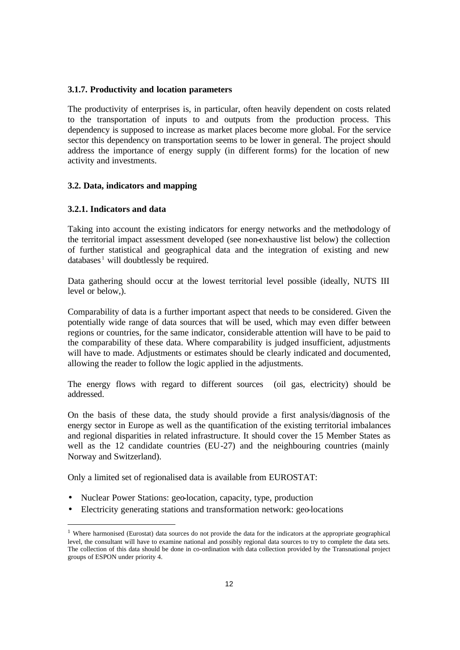#### **3.1.7. Productivity and location parameters**

The productivity of enterprises is, in particular, often heavily dependent on costs related to the transportation of inputs to and outputs from the production process. This dependency is supposed to increase as market places become more global. For the service sector this dependency on transportation seems to be lower in general. The project should address the importance of energy supply (in different forms) for the location of new activity and investments.

#### **3.2. Data, indicators and mapping**

#### **3.2.1. Indicators and data**

Taking into account the existing indicators for energy networks and the methodology of the territorial impact assessment developed (see non-exhaustive list below) the collection of further statistical and geographical data and the integration of existing and new  $data bases<sup>1</sup>$  will doubtlessly be required.

Data gathering should occur at the lowest territorial level possible (ideally, NUTS III) level or below,).

Comparability of data is a further important aspect that needs to be considered. Given the potentially wide range of data sources that will be used, which may even differ between regions or countries, for the same indicator, considerable attention will have to be paid to the comparability of these data. Where comparability is judged insufficient, adjustments will have to made. Adjustments or estimates should be clearly indicated and documented, allowing the reader to follow the logic applied in the adjustments.

The energy flows with regard to different sources (oil gas, electricity) should be addressed.

On the basis of these data, the study should provide a first analysis/diagnosis of the energy sector in Europe as well as the quantification of the existing territorial imbalances and regional disparities in related infrastructure. It should cover the 15 Member States as well as the 12 candidate countries (EU-27) and the neighbouring countries (mainly Norway and Switzerland).

Only a limited set of regionalised data is available from EUROSTAT:

- Nuclear Power Stations: geo-location, capacity, type, production
- Electricity generating stations and transformation network: geo-locations

<sup>&</sup>lt;sup>1</sup> Where harmonised (Eurostat) data sources do not provide the data for the indicators at the appropriate geographical level, the consultant will have to examine national and possibly regional data sources to try to complete the data sets. The collection of this data should be done in co-ordination with data collection provided by the Transnational project groups of ESPON under priority 4.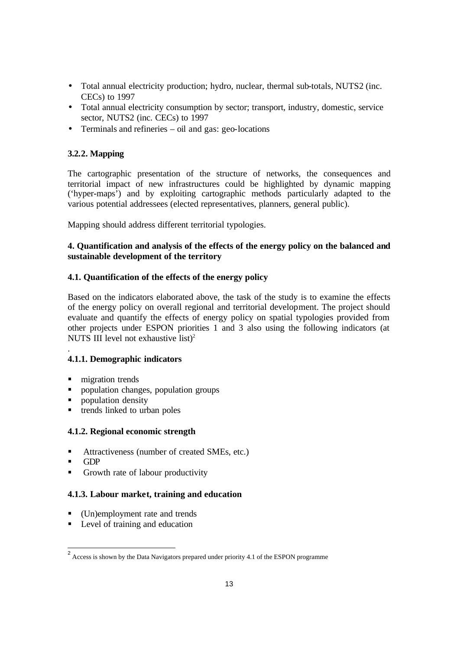- Total annual electricity production; hydro, nuclear, thermal sub-totals, NUTS2 (inc. CECs) to 1997
- Total annual electricity consumption by sector; transport, industry, domestic, service sector, NUTS2 (inc. CECs) to 1997
- Terminals and refineries oil and gas: geo-locations

# **3.2.2. Mapping**

The cartographic presentation of the structure of networks, the consequences and territorial impact of new infrastructures could be highlighted by dynamic mapping ('hyper-maps') and by exploiting cartographic methods particularly adapted to the various potential addressees (elected representatives, planners, general public).

Mapping should address different territorial typologies.

# **4. Quantification and analysis of the effects of the energy policy on the balanced and sustainable development of the territory**

#### **4.1. Quantification of the effects of the energy policy**

Based on the indicators elaborated above, the task of the study is to examine the effects of the energy policy on overall regional and territorial development. The project should evaluate and quantify the effects of energy policy on spatial typologies provided from other projects under ESPON priorities 1 and 3 also using the following indicators (at NUTS III level not exhaustive list)<sup>2</sup>

#### **4.1.1. Demographic indicators**

- migration trends
- ß population changes, population groups
- ß population density
- $\blacksquare$  trends linked to urban poles

# **4.1.2. Regional economic strength**

- ß Attractiveness (number of created SMEs, etc.)
- ß GDP

.

Growth rate of labour productivity

#### **4.1.3. Labour market, training and education**

- $\blacksquare$  (Un)employment rate and trends
- $\blacksquare$  Level of training and education

<sup>&</sup>lt;sup>2</sup> Access is shown by the Data Navigators prepared under priority 4.1 of the ESPON programme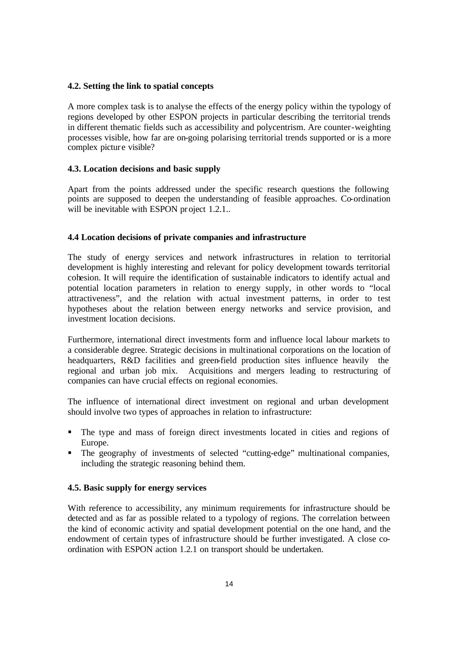#### **4.2. Setting the link to spatial concepts**

A more complex task is to analyse the effects of the energy policy within the typology of regions developed by other ESPON projects in particular describing the territorial trends in different thematic fields such as accessibility and polycentrism. Are counter-weighting processes visible, how far are on-going polarising territorial trends supported or is a more complex picture visible?

#### **4.3. Location decisions and basic supply**

Apart from the points addressed under the specific research questions the following points are supposed to deepen the understanding of feasible approaches. Co-ordination will be inevitable with ESPON project 1.2.1..

#### **4.4 Location decisions of private companies and infrastructure**

The study of energy services and network infrastructures in relation to territorial development is highly interesting and relevant for policy development towards territorial cohesion. It will require the identification of sustainable indicators to identify actual and potential location parameters in relation to energy supply, in other words to "local attractiveness", and the relation with actual investment patterns, in order to test hypotheses about the relation between energy networks and service provision, and investment location decisions.

Furthermore, international direct investments form and influence local labour markets to a considerable degree. Strategic decisions in multinational corporations on the location of headquarters, R&D facilities and green-field production sites influence heavily the regional and urban job mix. Acquisitions and mergers leading to restructuring of companies can have crucial effects on regional economies.

The influence of international direct investment on regional and urban development should involve two types of approaches in relation to infrastructure:

- ß The type and mass of foreign direct investments located in cities and regions of Europe.
- The geography of investments of selected "cutting-edge" multinational companies, including the strategic reasoning behind them.

#### **4.5. Basic supply for energy services**

With reference to accessibility, any minimum requirements for infrastructure should be detected and as far as possible related to a typology of regions. The correlation between the kind of economic activity and spatial development potential on the one hand, and the endowment of certain types of infrastructure should be further investigated. A close coordination with ESPON action 1.2.1 on transport should be undertaken.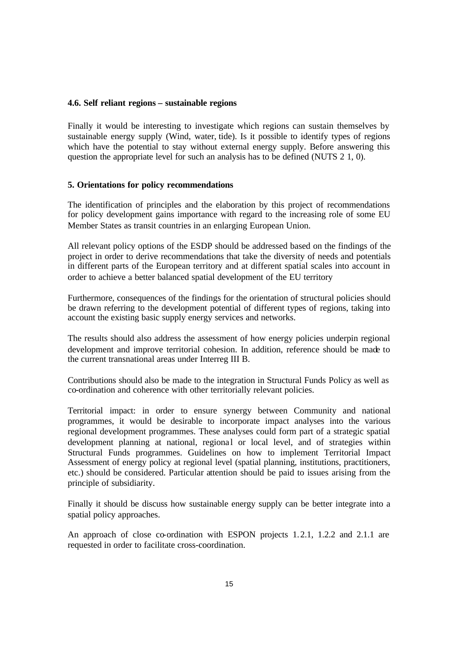#### **4.6. Self reliant regions – sustainable regions**

Finally it would be interesting to investigate which regions can sustain themselves by sustainable energy supply (Wind, water, tide). Is it possible to identify types of regions which have the potential to stay without external energy supply. Before answering this question the appropriate level for such an analysis has to be defined (NUTS 2 1, 0).

#### **5. Orientations for policy recommendations**

The identification of principles and the elaboration by this project of recommendations for policy development gains importance with regard to the increasing role of some EU Member States as transit countries in an enlarging European Union.

All relevant policy options of the ESDP should be addressed based on the findings of the project in order to derive recommendations that take the diversity of needs and potentials in different parts of the European territory and at different spatial scales into account in order to achieve a better balanced spatial development of the EU territory

Furthermore, consequences of the findings for the orientation of structural policies should be drawn referring to the development potential of different types of regions, taking into account the existing basic supply energy services and networks.

The results should also address the assessment of how energy policies underpin regional development and improve territorial cohesion. In addition, reference should be made to the current transnational areas under Interreg III B.

Contributions should also be made to the integration in Structural Funds Policy as well as co-ordination and coherence with other territorially relevant policies.

Territorial impact: in order to ensure synergy between Community and national programmes, it would be desirable to incorporate impact analyses into the various regional development programmes. These analyses could form part of a strategic spatial development planning at national, regional or local level, and of strategies within Structural Funds programmes. Guidelines on how to implement Territorial Impact Assessment of energy policy at regional level (spatial planning, institutions, practitioners, etc.) should be considered. Particular attention should be paid to issues arising from the principle of subsidiarity.

Finally it should be discuss how sustainable energy supply can be better integrate into a spatial policy approaches.

An approach of close co-ordination with ESPON projects 1.2.1, 1.2.2 and 2.1.1 are requested in order to facilitate cross-coordination.